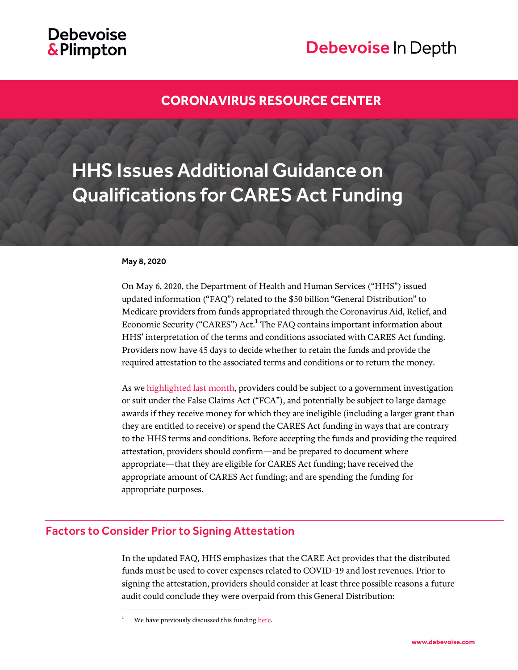## **Debevoise** & Plimpton

# Debevoise In Depth

## **[CORONAVIRUS RESOURCE CENTER](https://www.debevoise.com/topics/covid19checklist)**

# HHS Issues Additional Guidance on Qualifications for CARES Act Funding

#### May 8, 2020

On May 6, 2020, the Department of Health and Human Services ("HHS") issued updated information ("FAQ") related to the \$50 billion "General Distribution" to Medicare providers from funds appropriated through the Coronavirus Aid, Relief, and Economic Security ("CARES") Act.<sup>1</sup> The FAQ contains important information about HHS' interpretation of the terms and conditions associated with CARES Act funding. Providers now have 45 days to decide whether to retain the funds and provide the required attestation to the associated terms and conditions or to return the money.

As w[e highlighted last month,](https://www.debevoise.com/insights/publications/2020/04/hhs-announces-additional-funding-for) providers could be subject to a government investigation or suit under the False Claims Act ("FCA"), and potentially be subject to large damage awards if they receive money for which they are ineligible (including a larger grant than they are entitled to receive) or spend the CARES Act funding in ways that are contrary to the HHS terms and conditions. Before accepting the funds and providing the required attestation, providers should confirm—and be prepared to document where appropriate—that they are eligible for CARES Act funding; have received the appropriate amount of CARES Act funding; and are spending the funding for appropriate purposes.

## Factors to Consider Prior to Signing Attestation

l

In the updated FAQ, HHS emphasizes that the CARE Act provides that the distributed funds must be used to cover expenses related to COVID-19 and lost revenues. Prior to signing the attestation, providers should consider at least three possible reasons a future audit could conclude they were overpaid from this General Distribution:

We have previously discussed this fundin[g here.](https://www.debevoise.com/insights/publications/2020/04/appropriations-for-healthcare-providers-related-to)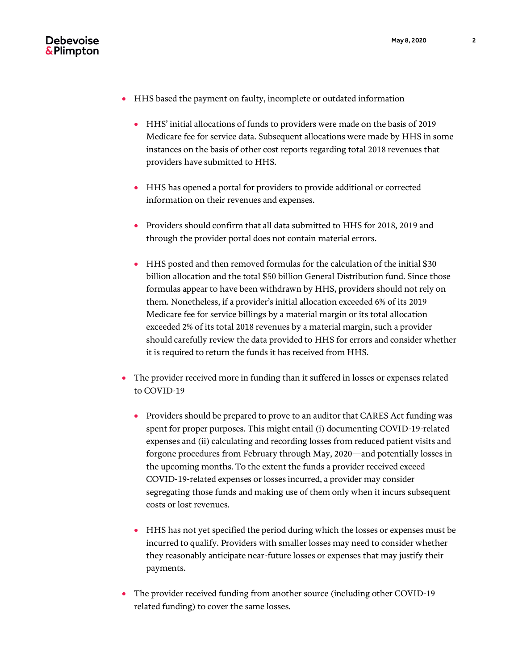

- HHS based the payment on faulty, incomplete or outdated information
	- HHS' initial allocations of funds to providers were made on the basis of 2019 Medicare fee for service data. Subsequent allocations were made by HHS in some instances on the basis of other cost reports regarding total 2018 revenues that providers have submitted to HHS.
	- HHS has opened a portal for providers to provide additional or corrected information on their revenues and expenses.
	- Providers should confirm that all data submitted to HHS for 2018, 2019 and through the provider portal does not contain material errors.
	- HHS posted and then removed formulas for the calculation of the initial \$30 billion allocation and the total \$50 billion General Distribution fund. Since those formulas appear to have been withdrawn by HHS, providers should not rely on them. Nonetheless, if a provider's initial allocation exceeded 6% of its 2019 Medicare fee for service billings by a material margin or its total allocation exceeded 2% of its total 2018 revenues by a material margin, such a provider should carefully review the data provided to HHS for errors and consider whether it is required to return the funds it has received from HHS.
- The provider received more in funding than it suffered in losses or expenses related to COVID-19
	- Providers should be prepared to prove to an auditor that CARES Act funding was spent for proper purposes. This might entail (i) documenting COVID-19-related expenses and (ii) calculating and recording losses from reduced patient visits and forgone procedures from February through May, 2020—and potentially losses in the upcoming months. To the extent the funds a provider received exceed COVID-19-related expenses or losses incurred, a provider may consider segregating those funds and making use of them only when it incurs subsequent costs or lost revenues.
	- HHS has not yet specified the period during which the losses or expenses must be incurred to qualify. Providers with smaller losses may need to consider whether they reasonably anticipate near-future losses or expenses that may justify their payments.
- The provider received funding from another source (including other COVID-19 related funding) to cover the same losses.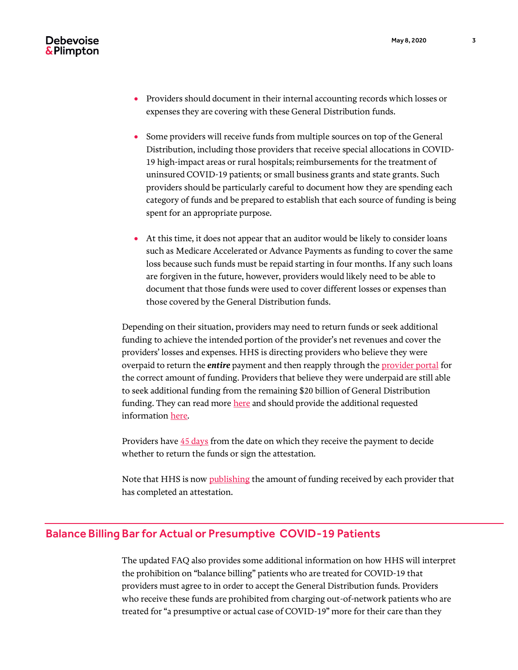

- Providers should document in their internal accounting records which losses or expenses they are covering with these General Distribution funds.
- Some providers will receive funds from multiple sources on top of the General Distribution, including those providers that receive special allocations in COVID-19 high-impact areas or rural hospitals; reimbursements for the treatment of uninsured COVID-19 patients; or small business grants and state grants. Such providers should be particularly careful to document how they are spending each category of funds and be prepared to establish that each source of funding is being spent for an appropriate purpose.
- At this time, it does not appear that an auditor would be likely to consider loans such as Medicare Accelerated or Advance Payments as funding to cover the same loss because such funds must be repaid starting in four months. If any such loans are forgiven in the future, however, providers would likely need to be able to document that those funds were used to cover different losses or expenses than those covered by the General Distribution funds.

Depending on their situation, providers may need to return funds or seek additional funding to achieve the intended portion of the provider's net revenues and cover the providers' losses and expenses. HHS is directing providers who believe they were overpaid to return the *entire* payment and then reapply through the [provider portal](https://covid19.linkhealth.com/docusign/#/step/1) for the correct amount of funding. Providers that believe they were underpaid are still able to seek additional funding from the remaining \$20 billion of General Distribution funding. They can read mor[e here](https://www.debevoise.com/insights/publications/2020/04/appropriations-for-healthcare-providers-related-to) and should provide the additional requested informatio[n here.](https://covid19.linkhealth.com/docusign/#/step/1)

Providers have  $45$  days from the date on which they receive the payment to decide whether to return the funds or sign the attestation.

Note that HHS is now [publishing](https://data.cdc.gov/Administrative/HRSA-Provider-Relief-Fund-General-Allocation/kh8y-3es6) the amount of funding received by each provider that has completed an attestation.

### Balance Billing Bar for Actual or Presumptive COVID-19 Patients

The updated FAQ also provides some additional information on how HHS will interpret the prohibition on "balance billing" patients who are treated for COVID-19 that providers must agree to in order to accept the General Distribution funds. Providers who receive these funds are prohibited from charging out-of-network patients who are treated for "a presumptive or actual case of COVID-19" more for their care than they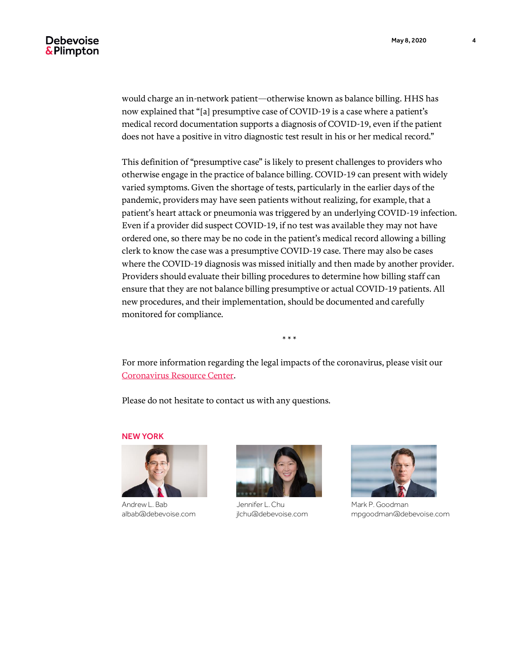would charge an in-network patient—otherwise known as balance billing. HHS has now explained that "[a] presumptive case of COVID-19 is a case where a patient's medical record documentation supports a diagnosis of COVID-19, even if the patient does not have a positive in vitro diagnostic test result in his or her medical record."

This definition of "presumptive case" is likely to present challenges to providers who otherwise engage in the practice of balance billing. COVID-19 can present with widely varied symptoms. Given the shortage of tests, particularly in the earlier days of the pandemic, providers may have seen patients without realizing, for example, that a patient's heart attack or pneumonia was triggered by an underlying COVID-19 infection. Even if a provider did suspect COVID-19, if no test was available they may not have ordered one, so there may be no code in the patient's medical record allowing a billing clerk to know the case was a presumptive COVID-19 case. There may also be cases where the COVID-19 diagnosis was missed initially and then made by another provider. Providers should evaluate their billing procedures to determine how billing staff can ensure that they are not balance billing presumptive or actual COVID-19 patients. All new procedures, and their implementation, should be documented and carefully monitored for compliance.

\* \* \*

For more information regarding the legal impacts of the coronavirus, please visit our [Coronavirus Resource Center.](https://www.debevoise.com/topics/covid19checklist)

Please do not hesitate to contact us with any questions.

NEW YORK



Andrew L. Bab albab@debevoise.com



Jennifer L. Chu jlchu@debevoise.com



Mark P. Goodman mpgoodman@debevoise.com